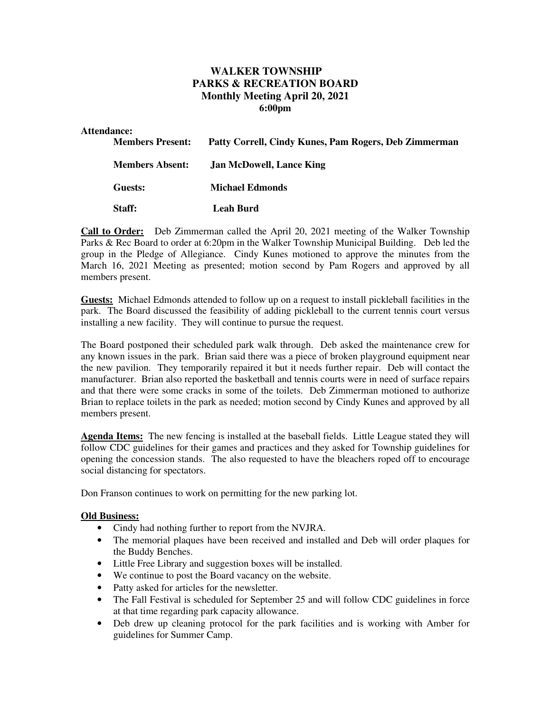## **WALKER TOWNSHIP PARKS & RECREATION BOARD Monthly Meeting April 20, 2021 6:00pm**

## **Attendance:**

| <b>Members Present:</b> | Patty Correll, Cindy Kunes, Pam Rogers, Deb Zimmerman |
|-------------------------|-------------------------------------------------------|
| <b>Members Absent:</b>  | <b>Jan McDowell, Lance King</b>                       |
| Guests:                 | <b>Michael Edmonds</b>                                |
| Staff:                  | Leah Burd                                             |

**Call to Order:** Deb Zimmerman called the April 20, 2021 meeting of the Walker Township Parks & Rec Board to order at 6:20pm in the Walker Township Municipal Building. Deb led the group in the Pledge of Allegiance. Cindy Kunes motioned to approve the minutes from the March 16, 2021 Meeting as presented; motion second by Pam Rogers and approved by all members present.

**Guests:** Michael Edmonds attended to follow up on a request to install pickleball facilities in the park. The Board discussed the feasibility of adding pickleball to the current tennis court versus installing a new facility. They will continue to pursue the request.

The Board postponed their scheduled park walk through. Deb asked the maintenance crew for any known issues in the park. Brian said there was a piece of broken playground equipment near the new pavilion. They temporarily repaired it but it needs further repair. Deb will contact the manufacturer. Brian also reported the basketball and tennis courts were in need of surface repairs and that there were some cracks in some of the toilets. Deb Zimmerman motioned to authorize Brian to replace toilets in the park as needed; motion second by Cindy Kunes and approved by all members present.

**Agenda Items:** The new fencing is installed at the baseball fields. Little League stated they will follow CDC guidelines for their games and practices and they asked for Township guidelines for opening the concession stands. The also requested to have the bleachers roped off to encourage social distancing for spectators.

Don Franson continues to work on permitting for the new parking lot.

## **Old Business:**

- Cindy had nothing further to report from the NVJRA.
- The memorial plaques have been received and installed and Deb will order plaques for the Buddy Benches.
- Little Free Library and suggestion boxes will be installed.
- We continue to post the Board vacancy on the website.
- Patty asked for articles for the newsletter.
- The Fall Festival is scheduled for September 25 and will follow CDC guidelines in force at that time regarding park capacity allowance.
- Deb drew up cleaning protocol for the park facilities and is working with Amber for guidelines for Summer Camp.